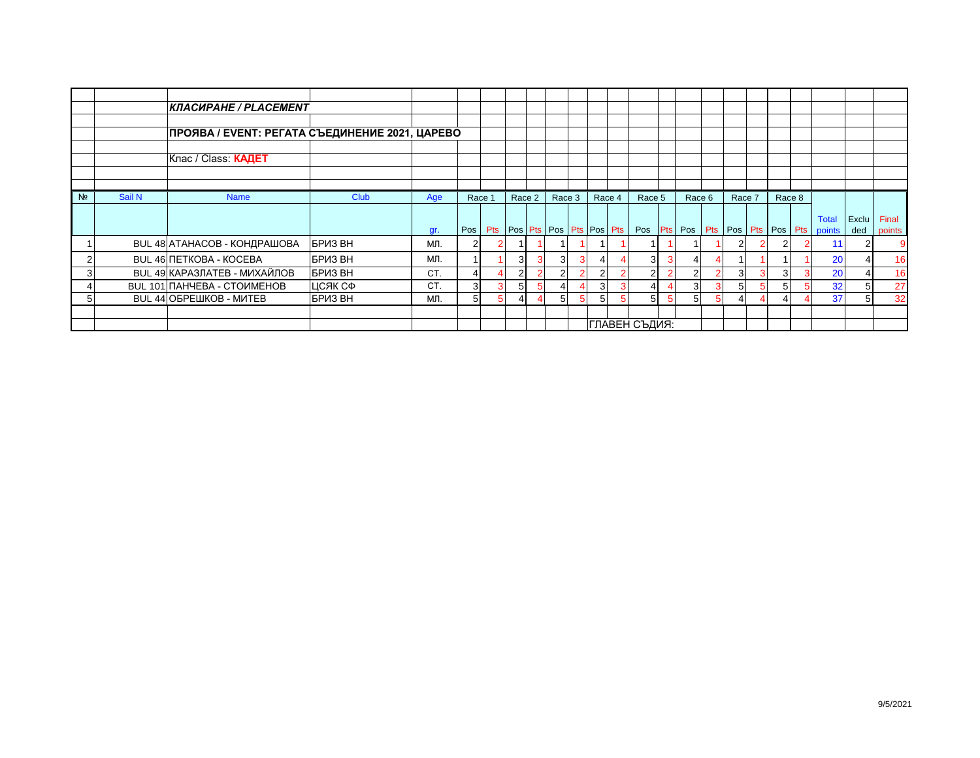|                |        | КЛАСИРАНЕ / PLACEMENT                          |                |     |                |                |                |   |                                         |                |   |        |        |        |                                                        |       |        |
|----------------|--------|------------------------------------------------|----------------|-----|----------------|----------------|----------------|---|-----------------------------------------|----------------|---|--------|--------|--------|--------------------------------------------------------|-------|--------|
|                |        |                                                |                |     |                |                |                |   |                                         |                |   |        |        |        |                                                        |       |        |
|                |        | ПРОЯВА / EVENT: РЕГАТА СЪЕДИНЕНИЕ 2021, ЦАРЕВО |                |     |                |                |                |   |                                         |                |   |        |        |        |                                                        |       |        |
|                |        |                                                |                |     |                |                |                |   |                                         |                |   |        |        |        |                                                        |       |        |
|                |        | Клас / Class <b>КАДЕТ</b>                      |                |     |                |                |                |   |                                         |                |   |        |        |        |                                                        |       |        |
|                |        |                                                |                |     |                |                |                |   |                                         |                |   |        |        |        |                                                        |       |        |
|                |        |                                                |                |     |                |                |                |   |                                         |                |   |        |        |        |                                                        |       |        |
| N <sub>2</sub> | Sail N | <b>Name</b>                                    | Club           | Age | Race 1         | Race 2         | Race 3         |   | Race 4                                  | Race 5         |   | Race 6 | Race 7 | Race 8 |                                                        |       |        |
|                |        |                                                |                |     |                |                |                |   |                                         |                |   |        |        |        |                                                        |       |        |
|                |        |                                                |                |     |                |                |                |   |                                         |                |   |        |        |        | <b>Total</b>                                           | Exclu | Final  |
|                |        |                                                |                | gr. | Pos            |                |                |   | Pts   Pos   Pts   Pos   Pts   Pos   Pts |                |   |        |        |        | Pos   Pts   Pos   Pts   Pos   Pts   Pos   Pts   points | ded   | points |
|                |        | BUL 48 АТАНАСОВ - КОНДРАШОВА                   | <b>BPU3 BH</b> | ΜЛ. | $\overline{2}$ |                |                |   |                                         |                |   |        |        | 21     | 11                                                     | 2     |        |
|                |        | <b>BUL 46 NETKOBA - KOCEBA</b>                 | <b>BPU3 BH</b> | ΜЛ. |                | 3              | $\overline{3}$ |   |                                         | 3              | 3 |        |        |        | 20                                                     |       | 16     |
|                |        | <b>BUL 49 КАРАЗЛАТЕВ - МИХАЙЛОВ</b>            | БРИЗ ВН        | CT. | 4              | $\overline{2}$ |                |   |                                         | $\overline{2}$ | 2 |        |        | 3I     | 20                                                     |       | 16     |
|                |        | BUL 101 ПАНЧЕВА - СТОИМЕНОВ                    | ЦСЯК СФ        | CT. | 3              | 5              |                |   |                                         | 4              |   | 3I     |        |        | 32                                                     | 5     | 27     |
|                |        | <b>BUL 44 ОБРЕШКОВ - МИТЕВ</b>                 | БРИЗ ВН        | MЛ. | 5              | 4              |                | 5 |                                         | 51             | 5 | 51     |        |        | 37                                                     | 5     | 32     |
|                |        |                                                |                |     |                |                |                |   |                                         |                |   |        |        |        |                                                        |       |        |
|                |        |                                                |                |     |                |                |                |   |                                         | ГЛАВЕН СЪДИЯ:  |   |        |        |        |                                                        |       |        |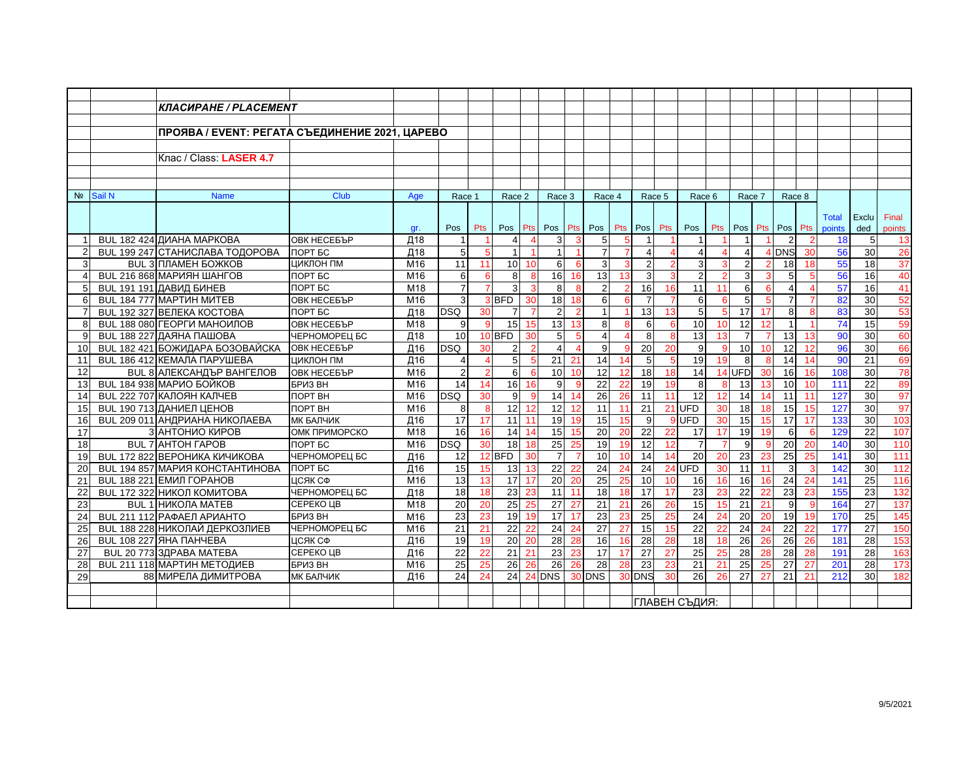|                 | Race 6        |                                 |                                                                                                                                      |                                                                                                                                                                                                                       |                                                                                                                                                                                       |
|-----------------|---------------|---------------------------------|--------------------------------------------------------------------------------------------------------------------------------------|-----------------------------------------------------------------------------------------------------------------------------------------------------------------------------------------------------------------------|---------------------------------------------------------------------------------------------------------------------------------------------------------------------------------------|
|                 |               |                                 |                                                                                                                                      |                                                                                                                                                                                                                       |                                                                                                                                                                                       |
|                 |               |                                 |                                                                                                                                      |                                                                                                                                                                                                                       |                                                                                                                                                                                       |
|                 |               |                                 |                                                                                                                                      |                                                                                                                                                                                                                       |                                                                                                                                                                                       |
|                 |               |                                 |                                                                                                                                      |                                                                                                                                                                                                                       |                                                                                                                                                                                       |
|                 |               |                                 |                                                                                                                                      |                                                                                                                                                                                                                       |                                                                                                                                                                                       |
|                 |               |                                 |                                                                                                                                      |                                                                                                                                                                                                                       |                                                                                                                                                                                       |
|                 |               |                                 |                                                                                                                                      |                                                                                                                                                                                                                       |                                                                                                                                                                                       |
|                 |               |                                 |                                                                                                                                      |                                                                                                                                                                                                                       |                                                                                                                                                                                       |
|                 |               |                                 |                                                                                                                                      |                                                                                                                                                                                                                       |                                                                                                                                                                                       |
|                 |               |                                 | <b>Total</b>                                                                                                                         | Exclu                                                                                                                                                                                                                 | Final                                                                                                                                                                                 |
|                 |               |                                 | points                                                                                                                               | ded                                                                                                                                                                                                                   | points                                                                                                                                                                                |
|                 |               |                                 |                                                                                                                                      | 5                                                                                                                                                                                                                     | 13                                                                                                                                                                                    |
| 4               |               |                                 |                                                                                                                                      |                                                                                                                                                                                                                       | 26                                                                                                                                                                                    |
|                 | з             | 18                              |                                                                                                                                      | 18                                                                                                                                                                                                                    | 37                                                                                                                                                                                    |
| 3               |               | 5                               |                                                                                                                                      |                                                                                                                                                                                                                       | 40                                                                                                                                                                                    |
|                 | 11            |                                 |                                                                                                                                      |                                                                                                                                                                                                                       | 41                                                                                                                                                                                    |
| 5               | 6             | 7                               |                                                                                                                                      |                                                                                                                                                                                                                       | 52                                                                                                                                                                                    |
| 17              | 5             | 8                               |                                                                                                                                      |                                                                                                                                                                                                                       | 53                                                                                                                                                                                    |
| 12              | 10            |                                 |                                                                                                                                      | 15                                                                                                                                                                                                                    | 59                                                                                                                                                                                    |
| $\overline{7}$  | 13            | 13                              |                                                                                                                                      | 30                                                                                                                                                                                                                    | 60                                                                                                                                                                                    |
| 10 <sup>1</sup> | $\mathbf{Q}$  | 12                              |                                                                                                                                      | 30                                                                                                                                                                                                                    | 66                                                                                                                                                                                    |
| 8               | 19            | 14                              |                                                                                                                                      | 21                                                                                                                                                                                                                    | 69                                                                                                                                                                                    |
|                 |               | 16                              |                                                                                                                                      | 30                                                                                                                                                                                                                    | 78                                                                                                                                                                                    |
| 13              |               | 10                              |                                                                                                                                      | 22                                                                                                                                                                                                                    | 89                                                                                                                                                                                    |
| 14              | 12            | 11                              |                                                                                                                                      | 30                                                                                                                                                                                                                    | 97                                                                                                                                                                                    |
| 18              | 30            | 15                              |                                                                                                                                      | 30                                                                                                                                                                                                                    | 97                                                                                                                                                                                    |
| 15              | 30            | 17                              |                                                                                                                                      | $\overline{30}$                                                                                                                                                                                                       | 103                                                                                                                                                                                   |
| 19              | 17            | 6                               |                                                                                                                                      | 22                                                                                                                                                                                                                    | 107                                                                                                                                                                                   |
| 9               |               | 20                              |                                                                                                                                      | 30                                                                                                                                                                                                                    | 110                                                                                                                                                                                   |
| 23              | 20            | $\overline{25}$                 | 141                                                                                                                                  | $\overline{30}$                                                                                                                                                                                                       | 111                                                                                                                                                                                   |
| 11              | 30            | 3                               |                                                                                                                                      | $\overline{30}$                                                                                                                                                                                                       | 112                                                                                                                                                                                   |
| 16              | 16            | 24                              |                                                                                                                                      | $\overline{25}$                                                                                                                                                                                                       | 116                                                                                                                                                                                   |
| 22              | 23            | $\overline{23}$                 |                                                                                                                                      | $\overline{23}$                                                                                                                                                                                                       | 132                                                                                                                                                                                   |
| 21              | 15            | $\mathbf{Q}$                    |                                                                                                                                      | 27                                                                                                                                                                                                                    | 137                                                                                                                                                                                   |
| 20              | 24            | 19                              |                                                                                                                                      | 25                                                                                                                                                                                                                    | 145                                                                                                                                                                                   |
| 24              | 22            | 22                              |                                                                                                                                      | 27                                                                                                                                                                                                                    | 150                                                                                                                                                                                   |
| 26              | 18            | $\overline{26}$                 |                                                                                                                                      | 28                                                                                                                                                                                                                    | 153                                                                                                                                                                                   |
| 28              | 25            | 28                              |                                                                                                                                      | 28                                                                                                                                                                                                                    | 163                                                                                                                                                                                   |
| 25              | 21            | 27                              |                                                                                                                                      | 28                                                                                                                                                                                                                    | 173                                                                                                                                                                                   |
| 27              | 26            | 21                              |                                                                                                                                      | 30                                                                                                                                                                                                                    | 182                                                                                                                                                                                   |
|                 |               |                                 |                                                                                                                                      |                                                                                                                                                                                                                       |                                                                                                                                                                                       |
|                 | ГЛАВЕН СЪДИЯ: |                                 |                                                                                                                                      |                                                                                                                                                                                                                       |                                                                                                                                                                                       |
|                 |               | $\overline{2}$<br>6<br>$14$ UFD | Race 7<br>Race 8<br><b>DNS</b><br>17<br>10<br>30<br>18<br>15<br>19<br>23<br>11<br>16<br>22<br>21<br>20<br>24<br>26<br>28<br>25<br>27 | Pts Pos Pts Pos Pts<br>30<br>18<br>-5<br>13<br>12<br>14<br>16<br>111<br>10<br>127<br>11<br>15<br>127<br>17<br>-6<br>20<br>25<br>-3<br>141<br>24<br>23<br>19<br>177<br>22<br>26<br>181<br>191<br>28<br>27<br>201<br>21 | 18<br>56<br>30<br>55<br>$\overline{16}$<br>56<br>$\overline{16}$<br>57<br>82<br>30<br>30<br>83<br>74<br>90<br>96<br>90<br>108<br>133<br>129<br>140<br>142<br>155<br>164<br>170<br>212 |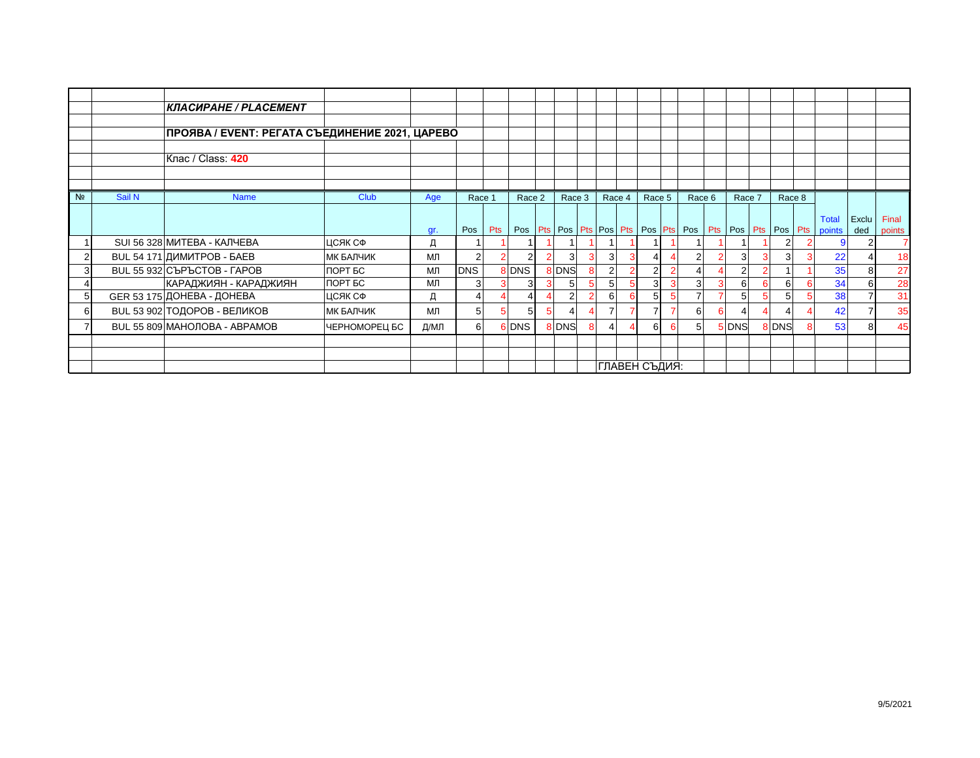|                |        | <b>КЛАСИРАНЕ / PLACEMENT</b>                   |                  |      |            |     |          |                |        |                |               |               |        |        |                                                                                            |                |        |
|----------------|--------|------------------------------------------------|------------------|------|------------|-----|----------|----------------|--------|----------------|---------------|---------------|--------|--------|--------------------------------------------------------------------------------------------|----------------|--------|
|                |        |                                                |                  |      |            |     |          |                |        |                |               |               |        |        |                                                                                            |                |        |
|                |        | ПРОЯВА / EVENT: РЕГАТА СЪЕДИНЕНИЕ 2021, ЦАРЕВО |                  |      |            |     |          |                |        |                |               |               |        |        |                                                                                            |                |        |
|                |        | Клас / Class: 420                              |                  |      |            |     |          |                |        |                |               |               |        |        |                                                                                            |                |        |
|                |        |                                                |                  |      |            |     |          |                |        |                |               |               |        |        |                                                                                            |                |        |
| N <sub>2</sub> | Sail N | <b>Name</b>                                    | <b>Club</b>      | Age  | Race 1     |     | Race 2   | Race 3         | Race 4 | Race 5         |               | Race 6        | Race 7 | Race 8 |                                                                                            |                |        |
|                |        |                                                |                  |      |            |     |          |                |        |                |               |               |        |        |                                                                                            |                |        |
|                |        |                                                |                  |      |            |     |          |                |        |                |               |               |        |        | Total                                                                                      | Exclu          | Final  |
|                |        |                                                |                  | gr.  | Pos        | Pts |          |                |        |                |               |               |        |        | Pos   Pts   Pos   Pts   Pos   Pts   Pos   Pts   Pos   Pts   Pos   Pts   Pos   Pts   points | ded            | points |
|                |        | SUI 56 328 МИТЕВА - КАЛЧЕВА                    | ЦСЯК СФ          | д    |            |     |          |                |        |                |               |               |        |        | 9                                                                                          | $\overline{2}$ |        |
| $\overline{2}$ |        | BUL 54 171 ДИМИТРОВ - БАЕВ                     | <b>МК БАЛЧИК</b> | ΜЛ   |            |     |          | 3              | 3      | 4              | 4             | $\mathcal{P}$ |        |        | 22                                                                                         |                | 18     |
| 3              |        | BUL 55 932 CЪPЪCТОВ - ГАРОВ                    | ПОРТ БС          | МЛ   | <b>DNS</b> |     | 8 DNS    | 8 DNS          | 2      | $\overline{2}$ | $\mathcal{P}$ |               |        |        | 35                                                                                         | 8              | 27     |
|                |        | КАРАДЖИЯН - КАРАДЖИЯН                          | ПОРТ БС          | МЛ   |            |     |          |                | 5      | 3              | 3             | 3             |        |        | 34                                                                                         | 6              | 28     |
| 5              |        | GER 53 175 ДОНЕВА - ДОНЕВА                     | ЦСЯК СФ          | Д    |            |     |          | $\overline{2}$ | 6      | 5              | 5             |               |        |        | 38                                                                                         |                | 31     |
| 6              |        | BUL 53 902 ТОДОРОВ - ВЕЛИКОВ                   | <b>МК БАЛЧИК</b> | МЛ   | 5          |     | $5 \mid$ |                |        | $\overline{7}$ | 7             | 61            |        |        | 42                                                                                         | $\overline{7}$ | 35     |
|                |        | <b>BUL 55 809 МАНОЛОВА - АВРАМОВ</b>           | ЧЕРНОМОРЕЦ БС    | Д/МЛ | $6 \mid$   |     | 6 DNS    | 8 DNS          | 4      | 6              | 6             | 51            | 5 DNS  | 8 DNS  | 53                                                                                         | 8              | 45     |
|                |        |                                                |                  |      |            |     |          |                |        |                |               |               |        |        |                                                                                            |                |        |
|                |        |                                                |                  |      |            |     |          |                |        |                |               |               |        |        |                                                                                            |                |        |
|                |        |                                                |                  |      |            |     |          |                |        | ГЛАВЕН СЪДИЯ:  |               |               |        |        |                                                                                            |                |        |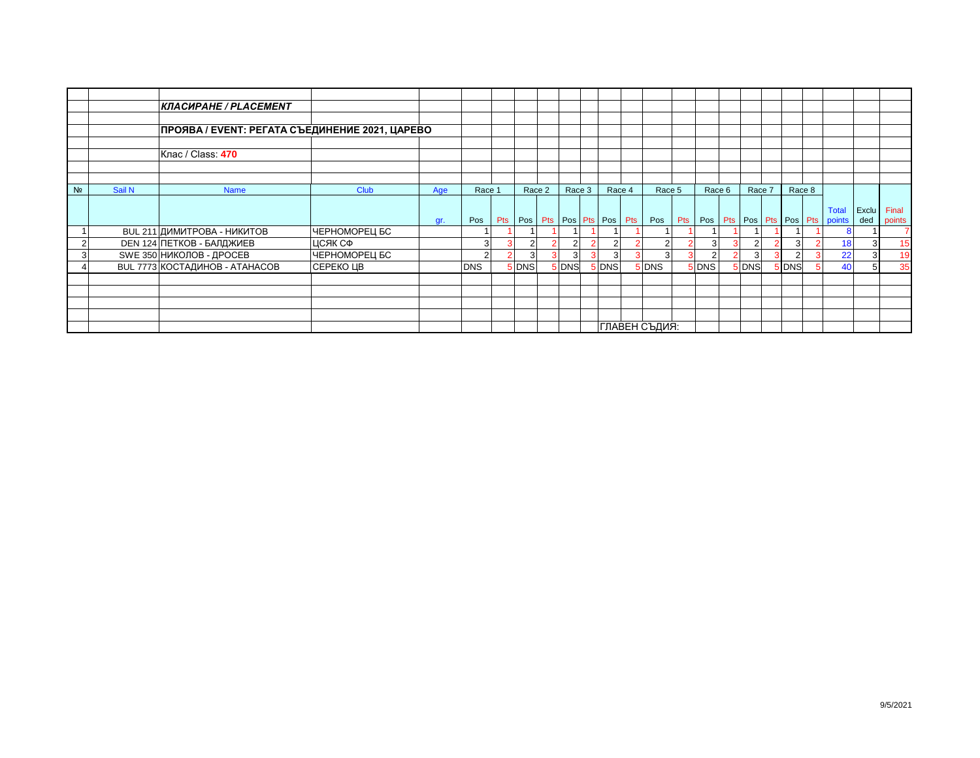|                |        | КЛАСИРАНЕ / PLACEMENT                          |               |     |               |                             |        |        |                |                |        |                |               |                                                    |              |                 |
|----------------|--------|------------------------------------------------|---------------|-----|---------------|-----------------------------|--------|--------|----------------|----------------|--------|----------------|---------------|----------------------------------------------------|--------------|-----------------|
|                |        | ПРОЯВА / EVENT: РЕГАТА СЪЕДИНЕНИЕ 2021, ЦАРЕВО |               |     |               |                             |        |        |                |                |        |                |               |                                                    |              |                 |
|                |        | Клас / Class: 470                              |               |     |               |                             |        |        |                |                |        |                |               |                                                    |              |                 |
|                |        |                                                |               |     |               |                             |        |        |                |                |        |                |               |                                                    |              |                 |
| N <sub>2</sub> | Sail N | <b>Name</b>                                    | Club          | Age | Race 1        | Race 2                      | Race 3 | Race 4 | Race 5         | Race 6         | Race 7 | Race 8         |               |                                                    |              |                 |
|                |        |                                                |               | gr. | Pos           | Pts Pos Pts Pos Pts Pos Pts |        |        | Pos            |                |        |                |               | <b>Total</b><br>Pts Pos Pts Pos Pts Pos Pts points | Exclu<br>ded | Final<br>points |
|                |        | BUL 211 ДИМИТРОВА - НИКИТОВ                    | ЧЕРНОМОРЕЦ БС |     |               |                             |        |        |                |                |        |                |               |                                                    |              |                 |
| $\overline{2}$ |        | <b>DEN 124 ПЕТКОВ - БАЛДЖИЕВ</b>               | ЦСЯК СФ       |     | 3             |                             | っ      |        | $\overline{2}$ | 3              |        | $\overline{3}$ | $\mathcal{P}$ | 18                                                 | 3            |                 |
| 3              |        | SWE 350 НИКОЛОВ - ДРОСЕВ                       | ЧЕРНОМОРЕЦ БС |     | $\mathcal{P}$ |                             | 3      |        | 3              | $\overline{2}$ |        |                | 3             | 22                                                 | 3            |                 |
|                |        | BUL 7773 КОСТАДИНОВ - АТАНАСОВ                 | СЕРЕКО ЦВ     |     | <b>DNS</b>    | <b>DNS</b>                  | 5 DNS  | 5 DNS  | 5 DNS          | 5 DNS          | 5 DNS  | 5 DNS          | 5             | 40                                                 | 5            | 35              |
|                |        |                                                |               |     |               |                             |        |        |                |                |        |                |               |                                                    |              |                 |
|                |        |                                                |               |     |               |                             |        |        |                |                |        |                |               |                                                    |              |                 |
|                |        |                                                |               |     |               |                             |        |        |                |                |        |                |               |                                                    |              |                 |
|                |        |                                                |               |     |               |                             |        |        | ГЛАВЕН СЪДИЯ:  |                |        |                |               |                                                    |              |                 |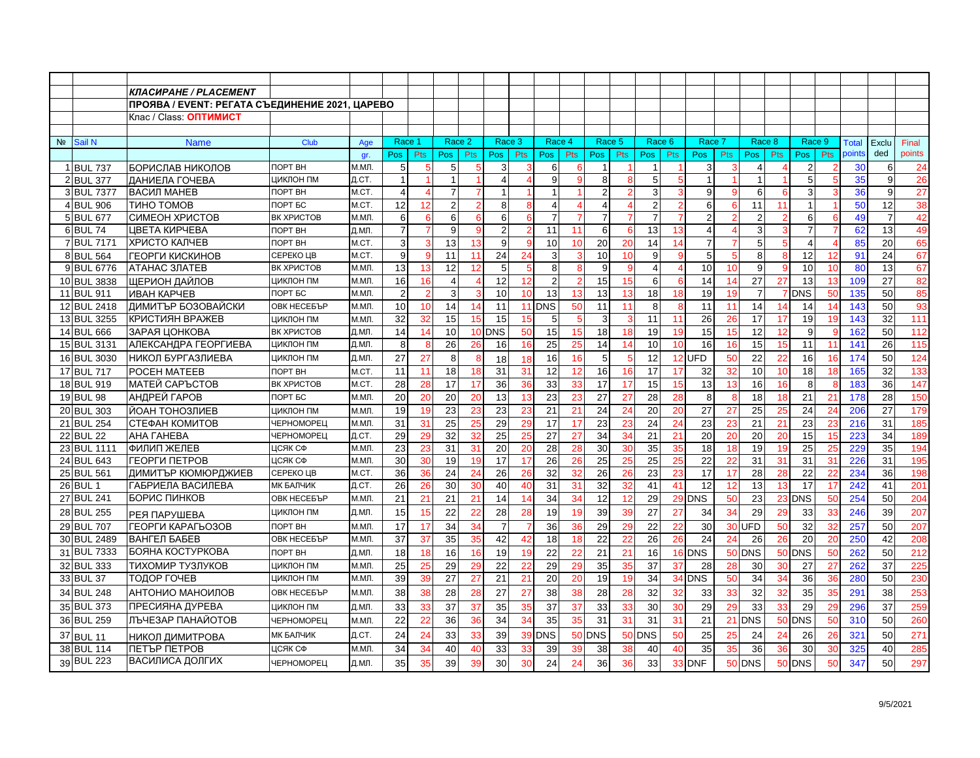|                |                        | КЛАСИРАНЕ / PLACEMENT                          |                           |                |                     |               |                |                         |                     |             |                |                |                |                   |                |                          |                     |            |                     |            |                     |                      |                 |                |                 |
|----------------|------------------------|------------------------------------------------|---------------------------|----------------|---------------------|---------------|----------------|-------------------------|---------------------|-------------|----------------|----------------|----------------|-------------------|----------------|--------------------------|---------------------|------------|---------------------|------------|---------------------|----------------------|-----------------|----------------|-----------------|
|                |                        | ПРОЯВА / EVENT: РЕГАТА СЪЕДИНЕНИЕ 2021, ЦАРЕВО |                           |                |                     |               |                |                         |                     |             |                |                |                |                   |                |                          |                     |            |                     |            |                     |                      |                 |                |                 |
|                |                        | Клас / Class: <b>ОПТИМИСТ</b>                  |                           |                |                     |               |                |                         |                     |             |                |                |                |                   |                |                          |                     |            |                     |            |                     |                      |                 |                |                 |
|                |                        |                                                |                           |                |                     |               |                |                         |                     |             |                |                |                |                   |                |                          |                     |            |                     |            |                     |                      |                 |                |                 |
| N <sub>2</sub> | Sail N                 | <b>Name</b>                                    | Club                      | Age            | Race <sup>®</sup>   |               | Race 2         |                         | Race 3              |             | Race 4         |                | Race 5         |                   | Race 6         |                          | Race 7              |            | Race 8              |            | Race 9              |                      | <b>Total</b>    | Exclu          | Final           |
|                |                        |                                                |                           | gr.            | Pos                 | <b>Pts</b>    | Pos            | <b>Pts</b>              | Pos                 | <b>Pts</b>  | Pos            | <b>Pts</b>     | Pos            | <b>Pts</b>        | Pos            | <b>Pts</b>               | Pos                 | <b>Pts</b> | Pos                 | <b>Pts</b> | Pos                 | <b>Pts</b>           | points          | ded            | points          |
|                | 1 BUL 737              | БОРИСЛАВ НИКОЛОВ                               | <b>NOPT BH</b>            | М.МЛ.          | 5                   |               | 5              | 5                       | 3                   |             | 6              |                | -1             |                   | $\mathbf 1$    |                          | 3                   |            | 4                   |            | 2                   |                      | 30              | 6              | 24              |
|                | 2 BUL 377              | ДАНИЕЛА ГОЧЕВА                                 | ЦИКЛОН ПМ                 | Д.CT.          | $\mathbf{1}$        |               | $\overline{1}$ |                         | $\overline{4}$      |             | 9              |                | 8              |                   | 5              | 5                        | $\overline{1}$      |            | $\mathbf{1}$        |            | 5                   | -5                   | 35              | 9              | 26              |
|                | 3 BUL 7377             | ВАСИЛ МАНЕВ                                    | ПОРТ ВН                   | M.CT.          | 4                   |               | $\overline{7}$ | 7                       | $\overline{1}$      |             |                |                | $\overline{2}$ |                   | 3              | 3                        | 9                   |            | 6                   | 6          | 3                   |                      | 36              | 9              | 27              |
|                | 4 BUL 906              | ТИНО ТОМОВ                                     | ПОРТ БС                   | M.CT.          | 12                  | 12            | $\overline{2}$ |                         | 8                   |             |                |                | $\overline{4}$ |                   | $\overline{2}$ |                          | 6                   |            | 11                  |            |                     |                      | 50              | 12             | 38              |
|                | 5 BUL 677              | СИМЕОН ХРИСТОВ                                 | ВК ХРИСТОВ                | М.МЛ.          | 6                   | 6             | 6              | 6                       | 6                   | -6          |                |                | $\overline{7}$ |                   | $\overline{7}$ |                          | $\overline{2}$      |            | $\overline{2}$      |            | 6                   | 6                    | 49              | $\overline{7}$ | 42              |
|                | 6 BUL 74<br>7 BUL 7171 | ЦВЕТА КИРЧЕВА<br>ХРИСТО КАЛЧЕВ                 | <b>NOPT BH</b><br>ПОРТ ВН | Д.МЛ.<br>M.CT. | $\overline{7}$<br>3 | 7<br>3        | 9<br>13        | 9<br>13                 | $\overline{2}$<br>9 | $\mathbf c$ | 11<br>10       | 11<br>10       | 6<br>20        | $6^{\circ}$<br>20 | 13<br>14       | 13<br>14                 | 4<br>$\overline{7}$ |            | $\overline{3}$<br>5 | 3<br>5     | $\overline{7}$<br>4 | -7<br>$\overline{A}$ | 62<br>85        | 13<br>20       | 49<br>65        |
|                | 8 BUL 564              | ГЕОРГИ КИСКИНОВ                                | СЕРЕКО ЦВ                 | M.CT.          | 9                   |               | 11             | 11                      | 24                  | 24          | 3              |                | 10             | 10                | 9 <sub>l</sub> | 9                        | 5                   |            | 8                   | 8          | 12                  | 12                   | 91              | 24             | 67              |
|                | 9 BUL 6776             | АТАНАС ЗЛАТЕВ                                  | ВК ХРИСТОВ                | М.МЛ.          | 13                  | 13            | 12             | 12                      | 5                   | -5          | 8              |                | 9              |                   | $\overline{4}$ | $\boldsymbol{\varDelta}$ | 10                  | 10         | 9                   | 9          | 10                  | 10                   | 80              | 13             | 67              |
|                | 10 BUL 3838            | ШЕРИОН ДАЙЛОВ                                  | ЦИКЛОН ПМ                 | М.МЛ.          | 16                  | 16            | $\overline{4}$ | $\overline{\mathbf{4}}$ | 12                  | 12          | $\overline{2}$ |                | 15             | 15                | 6              | 6                        | 14                  | 14         | 27                  | 27         | 13                  | 13                   | 109             | 27             | 82              |
|                | 11 BUL 911             | ИВАН КАРЧЕВ                                    | ПОРТ БС                   | M.MJ.          | $\overline{2}$      | $\mathcal{P}$ | 3              | 3                       | 10                  | 10          | 13             | 13             | 13             | 13                | 18             | 18                       | 19                  | 19         | $\overline{7}$      |            | 7 DNS               | 50                   | 135             | 50             | 85              |
|                | 12 BUL 2418            | ДИМИТЪР БОЗОВАЙСКИ                             | ОВК НЕСЕБЪР               | М.МЛ.          | 10                  | 10            | 14             | 14                      | 11                  | 11          | <b>DNS</b>     | 50             | 11             | 11                | 8              | 8                        | 11                  | 11         | 14                  | 14         | 14                  | 14                   | 143             | 50             | 93              |
|                | 13 BUL 3255            | КРИСТИЯН ВРАЖЕВ                                | ЦИКЛОН ПМ                 | М.МЛ.          | 32                  | 32            | 15             | 15                      | 15                  | 15          | 5              | 5              | 3              | 3                 | 11             | 11                       | 26                  | 26         | 17                  | 17         | 19                  | 19                   | 143             | 32             | 111             |
|                | 14 BUL 666             | ЗАРАЯ ЦОНКОВА                                  | ВК ХРИСТОВ                | Д.МЛ.          | 14                  | 14            | 10             |                         | 10 DNS              | 50          | 15             | 15             | 18             | 18                | 19             | 19                       | 15                  | 15         | 12                  | 12         | 9                   | -c                   | 162             | 50             | 112             |
|                | 15 BUL 3131            | АЛЕКСАНДРА ГЕОРГИЕВА                           | ЦИКЛОН ПМ                 | Д.МЛ.          | 8                   | 8             | 26             | 26                      | 16                  | 16          | 25             | 25             | 14             | 14                | 10             | 10                       | 16                  | 16         | 15                  | 15         | 11                  | 11                   | 141             | 26             | 115             |
|                | 16 BUL 3030            | НИКОЛ БУРГАЗЛИЕВА                              | ЦИКЛОН ПМ                 | Д.МЛ.          | 27                  | 27            | 8              | 8                       | 18                  | 18          | 16             | 16             | 5              |                   | 12             | 12                       | <b>JFD</b>          | 50         | 22                  | 22         | 16                  | 16                   | 174             | 50             | 124             |
|                | 17 BUL 717             | POCEH MATEEB                                   | ПОРТ ВН                   | M.CT.          | 11                  | 11            | 18             | 18                      | 31                  | 31          | 12             | 12             | 16             | 16                | 17             | 17                       | 32                  | 32         | 10                  | 10         | 18                  | 18                   | 165             | 32             | 133             |
|                | 18 BUL 919             | МАТЕЙ САРЪСТОВ                                 | ВК ХРИСТОВ                | M.CT.          | 28                  | 28            | 17             | 17                      | 36                  | 36          | 33             | 33             | 17             | 17                | 15             | 15                       | 13                  | 13         | 16                  | 16         | 8                   | -8                   | 183             | 36             | 147             |
|                | 19 BUL 98              | АНДРЕЙ ГАРОВ                                   | ПОРТ БС                   | М.МЛ.          | 20                  | 20            | 20             | 20                      | 13                  | 13          | 23             | 23             | 27             | 27                | 28             | 28                       | 8                   |            | 18                  | 18         | 21                  | 21                   | 178             | 28             | 150             |
|                | 20 BUL 303             | ЙОАН ТОНОЗЛИЕВ                                 | ЦИКЛОН ПМ                 | М.МЛ.          | 19                  | 19            | 23             | 23                      | 23                  | 23          | 21             | $2^{\circ}$    | 24             | 24                | 20             | 20                       | 27                  | 27         | 25                  | 25         | 24                  | 24                   | 206             | 27             | 179             |
|                | 21 BUL 254             | СТЕФАН КОМИТОВ                                 | <b><i>HEPHOMOPEL</i></b>  | M.MJ.          | 31                  | 31            | 25             | 25                      | 29                  | 29          | 17             | 17             | 23             | 23                | 24             | 24                       | 23                  | 23         | 21                  | 21         | 23                  | 23                   | 216             | 31             | 185             |
|                | 22 BUL 22              | AHA <b><i>TAHEBA</i></b>                       | ЧЕРНОМОРЕЦ                | Д.СТ.          | 29                  | 29            | 32             | 32                      | 25                  | 25          | 27             | 2 <sub>1</sub> | 34             | 34                | 21             | 21                       | 20                  | 20         | 20                  | 20         | 15                  | 15                   | 223             | 34             | 189             |
|                | 23 BUL 1111            | <b>ФИЛИП ЖЕЛЕВ</b>                             | ЦСЯК СФ                   | М.МЛ.          | 23                  |               | 31             | 31                      | 20                  | 20          | 28             | 28             | 30             | 3 <sub>C</sub>    | 35             | 35                       | 18                  |            | 19                  | 19         | 25                  | 25                   | 229             | 35             | 194             |
|                | 24 BUL 643             | ГЕОРГИ ПЕТРОВ                                  | ЦСЯК СФ                   | М.МЛ           | 30                  | 30            | 19             | 19                      | 17                  | 17          | 26             | 26             | 25             | 25                | 25             | 25                       | 22                  |            | 31                  | 31         | 31                  | 31                   | 226             | 31             | 195             |
|                | 25 BUL 561             | ДИМИТЪР КЮМЮРДЖИЕВ                             | СЕРЕКО ЦВ                 | M.CT.          | 36                  | 36            | 24             | 24                      | 26                  | 26          | 32             | 32             | 26             | 26                | 23             | 23                       | 17                  | -17        | 28                  | 28         | 22                  | 22                   | 234             | 36             | 198             |
|                | 26 BUL 1               | ГАБРИЕЛА ВАСИЛЕВА                              | <b>МК БАЛЧИК</b>          | Д.CT.          | 26                  | 26            | 30             | 30                      | 40                  | 40          | 31             | 3'             | 32             | 32                | 41             | 41                       | 12                  | 12         | 13                  | 13         | 17                  | 17                   | 242             | 41             | 201             |
|                | 27 BUL 241             | БОРИС ПИНКОВ                                   | ОВК НЕСЕБЪР               | М.МЛ.          | 21                  | 21            | 21             | 21                      | 14                  | 14          | 34             | 34             | 12             | 12                | 29             |                          | 29 DNS              | 50         | 23                  |            | 23 DNS              | 50                   | 254             | 50             | 204             |
|                | 28 BUL 255             | РЕЯ ПАРУШЕВА                                   | ЦИКЛОН ПМ                 | Д.МЛ.          | 15                  | 15            | 22             | 22                      | 28                  | 28          | 19             | 19             | 39             | 39                | 27             | 27                       | 34                  | 34         | 29                  | 29         | 33                  | 33                   | 246             | 39             | 207             |
|                | 29 BUL 707             | ГЕОРГИ КАРАГЬОЗОВ                              | ПОРТ ВН                   | М.МЛ.          | 17                  | 17            | 34             | 34                      | $\overline{7}$      |             | 36             | 36             | 29             | 29                | 22             | 22                       | 30                  | 30         | UFD                 | 50         | 32                  | 32                   | 257             | 50             | 207             |
|                | 30 BUL 2489            | ВАНГЕЛ БАБЕВ                                   | ОВК НЕСЕБЪР               | М.МЛ           | 37                  | 37            | 35             | 35                      | 42                  | 42          | 18             | 18             | 22             | 22                | 26             | 26                       | 24                  | 24         | 26                  | 26         | 20                  | 20                   | 25 <sub>C</sub> | 42             | 208             |
|                | 31 BUL 7333            | БОЯНА КОСТУРКОВА                               | ПОРТ ВН                   | Д.МЛ.          | 18                  | 18            | 16             | 16                      | 19                  | 19          | 22             | 22             | 21             | 21                | 16             |                          | 16 DNS              |            | <b>50 DNS</b>       |            | <b>50 DNS</b>       | 50                   | 262             | 50             | 212             |
|                | 32 BUL 333             | ТИХОМИР ТУЗЛУКОВ                               | ЦИКЛОН ПМ                 | М.МЛ.          | 25                  | 25            | 29             | 29                      | 22                  | 22          | 29             | 29             | 35             | 35                | 37             | 37                       | 28                  | 28         | 30                  | 30         | 27                  | 27                   | 262             | 37             | 225             |
|                | 33 BUL 37              | ТОДОР ГОЧЕВ                                    | ЦИКЛОН ПМ                 | М.МЛ.          | 39                  | 39            | 27             | 27                      | 21                  | 21          | 20             | 20             | 19             | 19                | 34             |                          | 34 DNS              | 50         | 34                  | 34         | 36                  | 36                   | <b>280</b>      | 50             | 23 <sub>C</sub> |
|                | 34 BUL 248             | АНТОНИО МАНОИЛОВ                               | ОВК НЕСЕБЪР               | М.МЛ           | 38                  | 38            | 28             | 28                      | 27                  | 27          | 38             | 38             | 28             | 28                | 32             | 32                       | 33                  | 33         | 32                  | 32         | 35                  | 35                   | 291             | 38             | 253             |
|                | 35 BUL 373             | ПРЕСИЯНА ДУРЕВА                                | ЦИКЛОН ПМ                 | Д.МЛ.          | 33                  | 33            | 37             | 37                      | 35                  | 35          | 37             | 37             | 33             | 33                | 30             | 30                       | 29                  | 29         | 33                  | 33         | 29                  | 29                   | 296             | 37             | 259             |
|                | 36 BUL 259             | ЛЪЧЕЗАР ПАНАЙОТОВ                              | ЧЕРНОМОРЕЦ                | М.МЛ.          | 22                  | 22            | 36             | 36                      | 34                  | 34          | 35             | 35             | 31             | 31                | 31             | 31                       | 21                  | 21         | <b>DNS</b>          |            | <b>50 DNS</b>       | 50                   | 310             | 50             | 260             |
|                | 37 BUL 11              | НИКОЛ ДИМИТРОВА                                | <b>МК БАЛЧИК</b>          | Д.СТ.          | 24                  | 24            | 33             | 33                      | 39                  | 39          | <b>DNS</b>     | 50             | <b>DNS</b>     |                   | 50 DNS         | 50                       | 25                  | 25         | 24                  | 24         | 26                  | 26                   | 321             | 50             | 271             |
|                | 38 BUL 114             | ПЕТЪР ПЕТРОВ                                   | ЦСЯК СФ                   | М.МЛ           | 34                  | 34            | 40             | 40                      | 33                  | 33          | 39             | 39             | 38             | 38                | 40             | 40                       | 35                  | 35         | 36                  | 36         | 30                  | 30                   | 325             | 40             | 285             |
|                | 39 BUL 223             | ВАСИЛИСА ДОЛГИХ                                | <b>ЧЕРНОМОРЕЦ</b>         | Д.МЛ.          | 35                  | 35            | 39             | 39                      | 30                  | 30          | 24             | 24             | 36             | 36                | 33             |                          | 33 DNF              |            | <b>50 DNS</b>       |            | <b>50 DNS</b>       | 50                   | 347             | 50             | 297             |